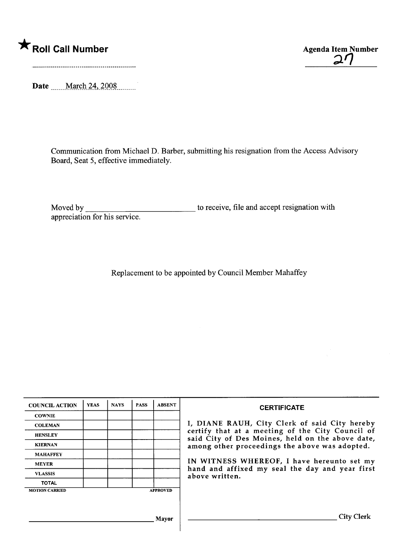## \* Roll Call Number Agenda Item Number

Date \_\_\_\_\_March 24, 2008

Communication from Michael D. Barber, submitting his resignation from the Access Advisory Board, Seat 5, effective immediately.

Moved by appreciation for his service. to receive, file and accept resignation with

Replacement to be appointed by Council Member Mahaffey

| <b>COUNCIL ACTION</b> | <b>YEAS</b> | <b>NAVS</b> | <b>PASS</b> | <b>ABSENT</b>   | <b>CERTIFICATE</b>                                                                                                                                                                                                                                                                                                         |
|-----------------------|-------------|-------------|-------------|-----------------|----------------------------------------------------------------------------------------------------------------------------------------------------------------------------------------------------------------------------------------------------------------------------------------------------------------------------|
| <b>COWNIE</b>         |             |             |             |                 | I, DIANE RAUH, City Clerk of said City hereby<br>certify that at a meeting of the City Council of<br>said City of Des Moines, held on the above date,<br>among other proceedings the above was adopted.<br>IN WITNESS WHEREOF, I have hereunto set my<br>hand and affixed my seal the day and year first<br>above written. |
| <b>COLEMAN</b>        |             |             |             |                 |                                                                                                                                                                                                                                                                                                                            |
| <b>HENSLEY</b>        |             |             |             |                 |                                                                                                                                                                                                                                                                                                                            |
| <b>KIERNAN</b>        |             |             |             |                 |                                                                                                                                                                                                                                                                                                                            |
| <b>MAHAFFEY</b>       |             |             |             |                 |                                                                                                                                                                                                                                                                                                                            |
| <b>MEYER</b>          |             |             |             |                 |                                                                                                                                                                                                                                                                                                                            |
| <b>VLASSIS</b>        |             |             |             |                 |                                                                                                                                                                                                                                                                                                                            |
| <b>TOTAL</b>          |             |             |             |                 |                                                                                                                                                                                                                                                                                                                            |
| <b>MOTION CARRIED</b> |             |             |             | <b>APPROVED</b> |                                                                                                                                                                                                                                                                                                                            |
|                       |             |             |             |                 |                                                                                                                                                                                                                                                                                                                            |
|                       |             |             |             |                 |                                                                                                                                                                                                                                                                                                                            |
| <b>Mayor</b>          |             |             |             |                 | City (                                                                                                                                                                                                                                                                                                                     |

 $\mathbf{2}$ l